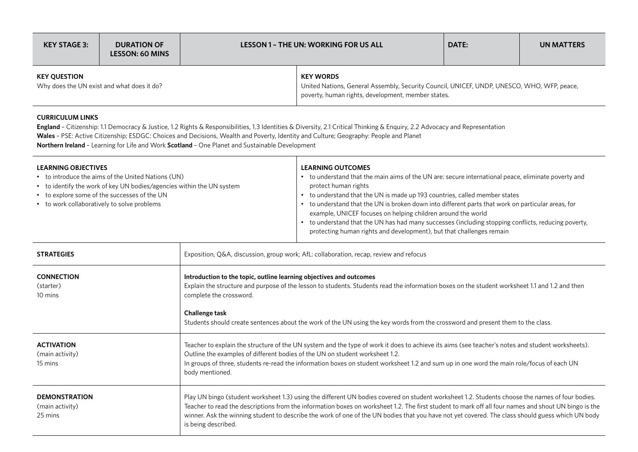| KEY STAGE 3:                                                      | <b>DURATION OF</b><br><b>LESSON: 60 MINS</b> | <b>LESSON 1 - THE UN: WORKING FOR US ALL</b>                                                                                                                         |  | DATE: | UN MATTERS |
|-------------------------------------------------------------------|----------------------------------------------|----------------------------------------------------------------------------------------------------------------------------------------------------------------------|--|-------|------------|
| <b>KEY OUESTION</b><br>Why does the UN exist and what does it do? |                                              | <b>KEY WORDS</b><br>United Nations, General Assembly, Security Council, UNICEF, UNDP, UNESCO, WHO, WFP, peace,<br>poverty, human rights, development, member states. |  |       |            |

## **Curriculum Links**

England - Citizenship: 1.1 Democracy & Justice, 1.2 Rights & Responsibilities, 1.3 Identities & Diversity, 2.1 Critical Thinking & Enquiry, 2.2 Advocacy and Representation **Wales** – PSE: Active Citizenship; ESDGC: Choices and Decisions, Wealth and Poverty, Identity and Culture; Geography: People and Planet **Northern Ireland** – Learning for Life and Work **Scotland** – One Planet and Sustainable Development

| <b>LEARNING OBJECTIVES</b><br>• to introduce the aims of the United Nations (UN)<br>• to identify the work of key UN bodies/agencies within the UN system<br>• to explore some of the successes of the UN<br>• to work collaboratively to solve problems |                                                                                                                                                                                                                                                                                                                                                                                                                                                                                    | <b>LEARNING OUTCOMES</b><br>• to understand that the main aims of the UN are: secure international peace, eliminate poverty and<br>protect human rights<br>• to understand that the UN is made up 193 countries, called member states<br>• to understand that the UN is broken down into different parts that work on particular areas, for<br>example, UNICEF focuses on helping children around the world<br>• to understand that the UN has had many successes (including stopping conflicts, reducing poverty,<br>protecting human rights and development), but that challenges remain |
|----------------------------------------------------------------------------------------------------------------------------------------------------------------------------------------------------------------------------------------------------------|------------------------------------------------------------------------------------------------------------------------------------------------------------------------------------------------------------------------------------------------------------------------------------------------------------------------------------------------------------------------------------------------------------------------------------------------------------------------------------|--------------------------------------------------------------------------------------------------------------------------------------------------------------------------------------------------------------------------------------------------------------------------------------------------------------------------------------------------------------------------------------------------------------------------------------------------------------------------------------------------------------------------------------------------------------------------------------------|
| <b>STRATEGIES</b>                                                                                                                                                                                                                                        |                                                                                                                                                                                                                                                                                                                                                                                                                                                                                    | Exposition, Q&A, discussion, group work; AfL: collaboration, recap, review and refocus                                                                                                                                                                                                                                                                                                                                                                                                                                                                                                     |
| <b>CONNECTION</b><br>(starter)<br>10 mins                                                                                                                                                                                                                | Introduction to the topic, outline learning objectives and outcomes<br>Explain the structure and purpose of the lesson to students. Students read the information boxes on the student worksheet 1.1 and 1.2 and then<br>complete the crossword.<br>Challenge task<br>Students should create sentences about the work of the UN using the key words from the crossword and present them to the class.                                                                              |                                                                                                                                                                                                                                                                                                                                                                                                                                                                                                                                                                                            |
| <b>ACTIVATION</b><br>(main activity)<br>15 mins                                                                                                                                                                                                          | Teacher to explain the structure of the UN system and the type of work it does to achieve its aims (see teacher's notes and student worksheets).<br>Outline the examples of different bodies of the UN on student worksheet 1.2.<br>In groups of three, students re-read the information boxes on student worksheet 1.2 and sum up in one word the main role/focus of each UN<br>body mentioned.                                                                                   |                                                                                                                                                                                                                                                                                                                                                                                                                                                                                                                                                                                            |
| <b>DEMONSTRATION</b><br>(main activity)<br>25 mins                                                                                                                                                                                                       | Play UN bingo (student worksheet 1.3) using the different UN bodies covered on student worksheet 1.2. Students choose the names of four bodies.<br>Teacher to read the descriptions from the information boxes on worksheet 1.2. The first student to mark off all four names and shout UN bingo is the<br>winner. Ask the winning student to describe the work of one of the UN bodies that you have not yet covered. The class should guess which UN body<br>is being described. |                                                                                                                                                                                                                                                                                                                                                                                                                                                                                                                                                                                            |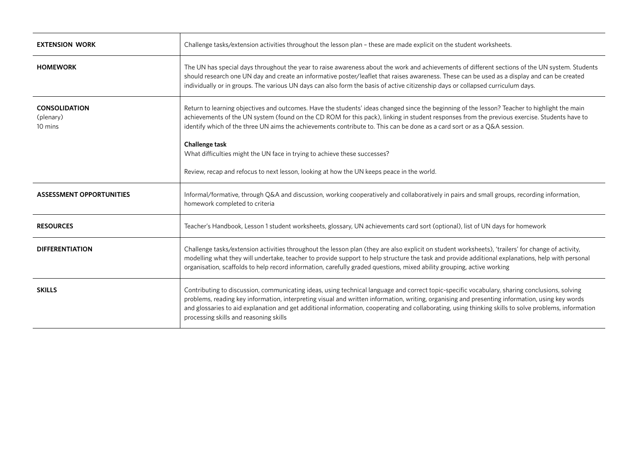| <b>EXTENSION WORK</b>                        | Challenge tasks/extension activities throughout the lesson plan - these are made explicit on the student worksheets.                                                                                                                                                                                                                                                                                                                                                                                |  |
|----------------------------------------------|-----------------------------------------------------------------------------------------------------------------------------------------------------------------------------------------------------------------------------------------------------------------------------------------------------------------------------------------------------------------------------------------------------------------------------------------------------------------------------------------------------|--|
| <b>HOMEWORK</b>                              | The UN has special days throughout the year to raise awareness about the work and achievements of different sections of the UN system. Students<br>should research one UN day and create an informative poster/leaflet that raises awareness. These can be used as a display and can be created<br>individually or in groups. The various UN days can also form the basis of active citizenship days or collapsed curriculum days.                                                                  |  |
| <b>CONSOLIDATION</b><br>(plenary)<br>10 mins | Return to learning objectives and outcomes. Have the students' ideas changed since the beginning of the lesson? Teacher to highlight the main<br>achievements of the UN system (found on the CD ROM for this pack), linking in student responses from the previous exercise. Students have to<br>identify which of the three UN aims the achievements contribute to. This can be done as a card sort or as a Q&A session.                                                                           |  |
|                                              | Challenge task<br>What difficulties might the UN face in trying to achieve these successes?                                                                                                                                                                                                                                                                                                                                                                                                         |  |
|                                              | Review, recap and refocus to next lesson, looking at how the UN keeps peace in the world.                                                                                                                                                                                                                                                                                                                                                                                                           |  |
| <b>ASSESSMENT OPPORTUNITIES</b>              | Informal/formative, through Q&A and discussion, working cooperatively and collaboratively in pairs and small groups, recording information,<br>homework completed to criteria                                                                                                                                                                                                                                                                                                                       |  |
| <b>RESOURCES</b>                             | Teacher's Handbook, Lesson 1 student worksheets, glossary, UN achievements card sort (optional), list of UN days for homework                                                                                                                                                                                                                                                                                                                                                                       |  |
| <b>DIFFERENTIATION</b>                       | Challenge tasks/extension activities throughout the lesson plan (they are also explicit on student worksheets), 'trailers' for change of activity,<br>modelling what they will undertake, teacher to provide support to help structure the task and provide additional explanations, help with personal<br>organisation, scaffolds to help record information, carefully graded questions, mixed ability grouping, active working                                                                   |  |
| <b>SKILLS</b>                                | Contributing to discussion, communicating ideas, using technical language and correct topic-specific vocabulary, sharing conclusions, solving<br>problems, reading key information, interpreting visual and written information, writing, organising and presenting information, using key words<br>and glossaries to aid explanation and get additional information, cooperating and collaborating, using thinking skills to solve problems, information<br>processing skills and reasoning skills |  |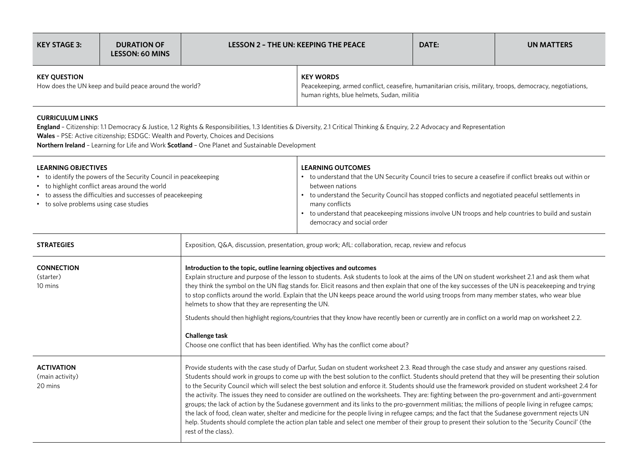| KEY STAGE 3:                                                                  | <b>DURATION OF</b><br><b>LESSON: 60 MINS</b> | LESSON 2 - THE UN: KEEPING THE PEACE |                                                                                                                                                                            | DATE: | UN MATTERS |
|-------------------------------------------------------------------------------|----------------------------------------------|--------------------------------------|----------------------------------------------------------------------------------------------------------------------------------------------------------------------------|-------|------------|
| <b>KEY OUESTION</b><br>How does the UN keep and build peace around the world? |                                              |                                      | <b>KEY WORDS</b><br>Peacekeeping, armed conflict, ceasefire, humanitarian crisis, military, troops, democracy, negotiations,<br>human rights, blue helmets, Sudan, militia |       |            |

## **CURRICULUM LINKS**

**England** – Citizenship: 1.1 Democracy & Justice, 1.2 Rights & Responsibilities, 1.3 Identities & Diversity, 2.1 Critical Thinking & Enquiry, 2.2 Advocacy and Representation **Wales** – PSE: Active citizenship; ESDGC: Wealth and Poverty, Choices and Decisions

**Northern Ireland** – Learning for Life and Work **Scotland** – One Planet and Sustainable Development

| <b>LEARNING OBJECTIVES</b><br>• to identify the powers of the Security Council in peacekeeping<br>• to highlight conflict areas around the world<br>• to assess the difficulties and successes of peacekeeping<br>• to solve problems using case studies |                                                                                                                                                                                                                                                                                                                                                                                                                                                                                                                                                                                                                                                                                                                                                                                                                                                                                                                                                                                                                                                                                                          | <b>LEARNING OUTCOMES</b><br>• to understand that the UN Security Council tries to secure a ceasefire if conflict breaks out within or<br>between nations<br>• to understand the Security Council has stopped conflicts and negotiated peaceful settlements in<br>many conflicts<br>• to understand that peacekeeping missions involve UN troops and help countries to build and sustain<br>democracy and social order |
|----------------------------------------------------------------------------------------------------------------------------------------------------------------------------------------------------------------------------------------------------------|----------------------------------------------------------------------------------------------------------------------------------------------------------------------------------------------------------------------------------------------------------------------------------------------------------------------------------------------------------------------------------------------------------------------------------------------------------------------------------------------------------------------------------------------------------------------------------------------------------------------------------------------------------------------------------------------------------------------------------------------------------------------------------------------------------------------------------------------------------------------------------------------------------------------------------------------------------------------------------------------------------------------------------------------------------------------------------------------------------|-----------------------------------------------------------------------------------------------------------------------------------------------------------------------------------------------------------------------------------------------------------------------------------------------------------------------------------------------------------------------------------------------------------------------|
| <b>STRATEGIES</b>                                                                                                                                                                                                                                        | Exposition, Q&A, discussion, presentation, group work; AfL: collaboration, recap, review and refocus                                                                                                                                                                                                                                                                                                                                                                                                                                                                                                                                                                                                                                                                                                                                                                                                                                                                                                                                                                                                     |                                                                                                                                                                                                                                                                                                                                                                                                                       |
| <b>CONNECTION</b><br>(starter)<br>10 mins                                                                                                                                                                                                                | Introduction to the topic, outline learning objectives and outcomes<br>Explain structure and purpose of the lesson to students. Ask students to look at the aims of the UN on student worksheet 2.1 and ask them what<br>they think the symbol on the UN flag stands for. Elicit reasons and then explain that one of the key successes of the UN is peacekeeping and trying<br>to stop conflicts around the world. Explain that the UN keeps peace around the world using troops from many member states, who wear blue<br>helmets to show that they are representing the UN.<br>Students should then highlight regions/countries that they know have recently been or currently are in conflict on a world map on worksheet 2.2.<br>Challenge task<br>Choose one conflict that has been identified. Why has the conflict come about?                                                                                                                                                                                                                                                                   |                                                                                                                                                                                                                                                                                                                                                                                                                       |
| <b>ACTIVATION</b><br>(main activity)<br>20 mins                                                                                                                                                                                                          | Provide students with the case study of Darfur, Sudan on student worksheet 2.3. Read through the case study and answer any questions raised.<br>Students should work in groups to come up with the best solution to the conflict. Students should pretend that they will be presenting their solution<br>to the Security Council which will select the best solution and enforce it. Students should use the framework provided on student worksheet 2.4 for<br>the activity. The issues they need to consider are outlined on the worksheets. They are: fighting between the pro-government and anti-government<br>groups; the lack of action by the Sudanese government and its links to the pro-government militias; the millions of people living in refugee camps;<br>the lack of food, clean water, shelter and medicine for the people living in refugee camps; and the fact that the Sudanese government rejects UN<br>help. Students should complete the action plan table and select one member of their group to present their solution to the 'Security Council' (the<br>rest of the class). |                                                                                                                                                                                                                                                                                                                                                                                                                       |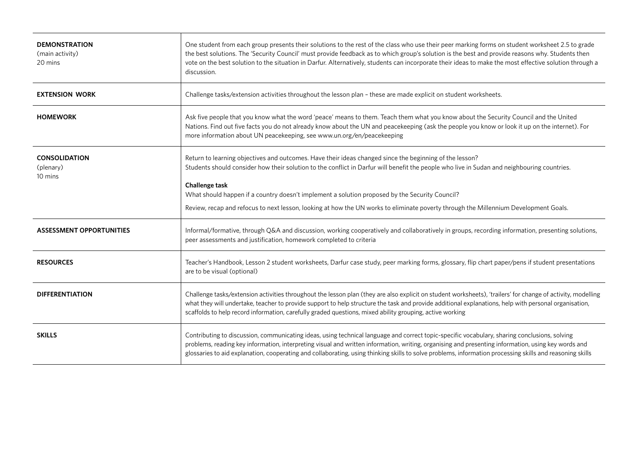| <b>DEMONSTRATION</b><br>(main activity)<br>20 mins | One student from each group presents their solutions to the rest of the class who use their peer marking forms on student worksheet 2.5 to grade<br>the best solutions. The 'Security Council' must provide feedback as to which group's solution is the best and provide reasons why. Students then<br>vote on the best solution to the situation in Darfur. Alternatively, students can incorporate their ideas to make the most effective solution through a<br>discussion. |
|----------------------------------------------------|--------------------------------------------------------------------------------------------------------------------------------------------------------------------------------------------------------------------------------------------------------------------------------------------------------------------------------------------------------------------------------------------------------------------------------------------------------------------------------|
| <b>EXTENSION WORK</b>                              | Challenge tasks/extension activities throughout the lesson plan - these are made explicit on student worksheets.                                                                                                                                                                                                                                                                                                                                                               |
| <b>HOMEWORK</b>                                    | Ask five people that you know what the word 'peace' means to them. Teach them what you know about the Security Council and the United<br>Nations. Find out five facts you do not already know about the UN and peacekeeping (ask the people you know or look it up on the internet). For<br>more information about UN peacekeeping, see www.un.org/en/peacekeeping                                                                                                             |
| <b>CONSOLIDATION</b><br>(plenary)<br>10 mins       | Return to learning objectives and outcomes. Have their ideas changed since the beginning of the lesson?<br>Students should consider how their solution to the conflict in Darfur will benefit the people who live in Sudan and neighbouring countries.<br><b>Challenge task</b><br>What should happen if a country doesn't implement a solution proposed by the Security Council?                                                                                              |
|                                                    | Review, recap and refocus to next lesson, looking at how the UN works to eliminate poverty through the Millennium Development Goals.                                                                                                                                                                                                                                                                                                                                           |
| <b>ASSESSMENT OPPORTUNITIES</b>                    | Informal/formative, through Q&A and discussion, working cooperatively and collaboratively in groups, recording information, presenting solutions,<br>peer assessments and justification, homework completed to criteria                                                                                                                                                                                                                                                        |
| <b>RESOURCES</b>                                   | Teacher's Handbook, Lesson 2 student worksheets, Darfur case study, peer marking forms, glossary, flip chart paper/pens if student presentations<br>are to be visual (optional)                                                                                                                                                                                                                                                                                                |
| <b>DIFFERENTIATION</b>                             | Challenge tasks/extension activities throughout the lesson plan (they are also explicit on student worksheets), 'trailers' for change of activity, modelling<br>what they will undertake, teacher to provide support to help structure the task and provide additional explanations, help with personal organisation,<br>scaffolds to help record information, carefully graded questions, mixed ability grouping, active working                                              |
| <b>SKILLS</b>                                      | Contributing to discussion, communicating ideas, using technical language and correct topic-specific vocabulary, sharing conclusions, solving<br>problems, reading key information, interpreting visual and written information, writing, organising and presenting information, using key words and<br>glossaries to aid explanation, cooperating and collaborating, using thinking skills to solve problems, information processing skills and reasoning skills              |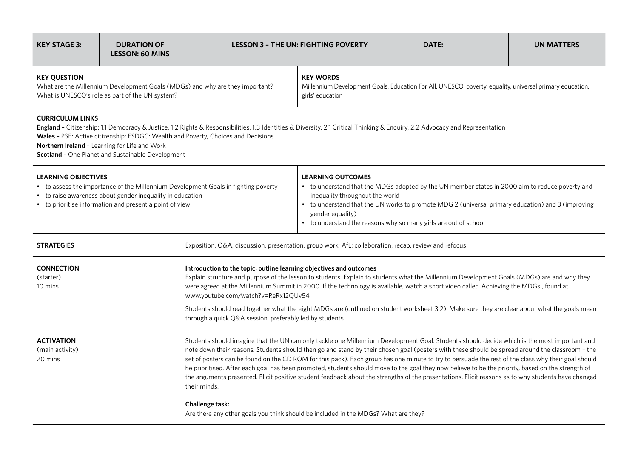| <b>KEY STAGE 3:</b>                                                                                                                                                                                                                                                                                                                                                                               | <b>DURATION OF</b><br><b>LESSON: 60 MINS</b> |                                                                                                                                                                                                                                                                                                                                                                                                                                                                                                                                                                                                                                                                                                                                                                                 | <b>LESSON 3 - THE UN: FIGHTING POVERTY</b>                                                                                                                                                                                                                                                                                                                 | DATE: | <b>UN MATTERS</b> |
|---------------------------------------------------------------------------------------------------------------------------------------------------------------------------------------------------------------------------------------------------------------------------------------------------------------------------------------------------------------------------------------------------|----------------------------------------------|---------------------------------------------------------------------------------------------------------------------------------------------------------------------------------------------------------------------------------------------------------------------------------------------------------------------------------------------------------------------------------------------------------------------------------------------------------------------------------------------------------------------------------------------------------------------------------------------------------------------------------------------------------------------------------------------------------------------------------------------------------------------------------|------------------------------------------------------------------------------------------------------------------------------------------------------------------------------------------------------------------------------------------------------------------------------------------------------------------------------------------------------------|-------|-------------------|
| <b>KEY QUESTION</b><br>What are the Millennium Development Goals (MDGs) and why are they important?<br>What is UNESCO's role as part of the UN system?                                                                                                                                                                                                                                            |                                              | <b>KEY WORDS</b><br>Millennium Development Goals, Education For All, UNESCO, poverty, equality, universal primary education,<br>girls' education                                                                                                                                                                                                                                                                                                                                                                                                                                                                                                                                                                                                                                |                                                                                                                                                                                                                                                                                                                                                            |       |                   |
| <b>CURRICULUM LINKS</b><br>England - Citizenship: 1.1 Democracy & Justice, 1.2 Rights & Responsibilities, 1.3 Identities & Diversity, 2.1 Critical Thinking & Enquiry, 2.2 Advocacy and Representation<br>Wales - PSE: Active citizenship; ESDGC: Wealth and Poverty, Choices and Decisions<br>Northern Ireland - Learning for Life and Work<br>Scotland - One Planet and Sustainable Development |                                              |                                                                                                                                                                                                                                                                                                                                                                                                                                                                                                                                                                                                                                                                                                                                                                                 |                                                                                                                                                                                                                                                                                                                                                            |       |                   |
| <b>LEARNING OBJECTIVES</b><br>• to assess the importance of the Millennium Development Goals in fighting poverty<br>• to raise awareness about gender inequality in education<br>• to prioritise information and present a point of view                                                                                                                                                          |                                              |                                                                                                                                                                                                                                                                                                                                                                                                                                                                                                                                                                                                                                                                                                                                                                                 | <b>LEARNING OUTCOMES</b><br>• to understand that the MDGs adopted by the UN member states in 2000 aim to reduce poverty and<br>inequality throughout the world<br>• to understand that the UN works to promote MDG 2 (universal primary education) and 3 (improving<br>gender equality)<br>• to understand the reasons why so many girls are out of school |       |                   |
| <b>STRATEGIES</b>                                                                                                                                                                                                                                                                                                                                                                                 |                                              | Exposition, Q&A, discussion, presentation, group work; AfL: collaboration, recap, review and refocus                                                                                                                                                                                                                                                                                                                                                                                                                                                                                                                                                                                                                                                                            |                                                                                                                                                                                                                                                                                                                                                            |       |                   |
| <b>CONNECTION</b><br>(starter)<br>10 mins                                                                                                                                                                                                                                                                                                                                                         |                                              | Introduction to the topic, outline learning objectives and outcomes<br>Explain structure and purpose of the lesson to students. Explain to students what the Millennium Development Goals (MDGs) are and why they<br>were agreed at the Millennium Summit in 2000. If the technology is available, watch a short video called 'Achieving the MDGs', found at<br>www.youtube.com/watch?v=ReRx12QUv54                                                                                                                                                                                                                                                                                                                                                                             |                                                                                                                                                                                                                                                                                                                                                            |       |                   |
|                                                                                                                                                                                                                                                                                                                                                                                                   |                                              | through a quick Q&A session, preferably led by students.                                                                                                                                                                                                                                                                                                                                                                                                                                                                                                                                                                                                                                                                                                                        | Students should read together what the eight MDGs are (outlined on student worksheet 3.2). Make sure they are clear about what the goals mean                                                                                                                                                                                                              |       |                   |
| <b>ACTIVATION</b><br>(main activity)<br>20 mins                                                                                                                                                                                                                                                                                                                                                   |                                              | Students should imagine that the UN can only tackle one Millennium Development Goal. Students should decide which is the most important and<br>note down their reasons. Students should then go and stand by their chosen goal (posters with these should be spread around the classroom - the<br>set of posters can be found on the CD ROM for this pack). Each group has one minute to try to persuade the rest of the class why their goal should<br>be prioritised. After each goal has been promoted, students should move to the goal they now believe to be the priority, based on the strength of<br>the arguments presented. Elicit positive student feedback about the strengths of the presentations. Elicit reasons as to why students have changed<br>their minds. |                                                                                                                                                                                                                                                                                                                                                            |       |                   |
|                                                                                                                                                                                                                                                                                                                                                                                                   |                                              | Challenge task:                                                                                                                                                                                                                                                                                                                                                                                                                                                                                                                                                                                                                                                                                                                                                                 | Are there any other goals you think should be included in the MDGs? What are they?                                                                                                                                                                                                                                                                         |       |                   |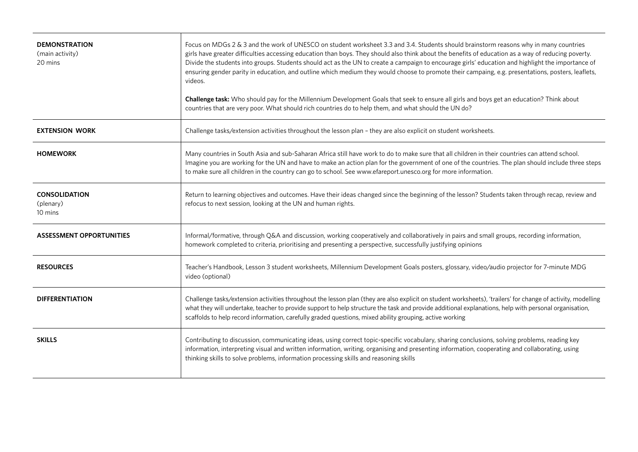| <b>DEMONSTRATION</b><br>(main activity)<br>20 mins | Focus on MDGs 2 & 3 and the work of UNESCO on student worksheet 3.3 and 3.4. Students should brainstorm reasons why in many countries<br>girls have greater difficulties accessing education than boys. They should also think about the benefits of education as a way of reducing poverty.<br>Divide the students into groups. Students should act as the UN to create a campaign to encourage girls' education and highlight the importance of<br>ensuring gender parity in education, and outline which medium they would choose to promote their campaing, e.g. presentations, posters, leaflets,<br>videos.<br>Challenge task: Who should pay for the Millennium Development Goals that seek to ensure all girls and boys get an education? Think about<br>countries that are very poor. What should rich countries do to help them, and what should the UN do? |
|----------------------------------------------------|-----------------------------------------------------------------------------------------------------------------------------------------------------------------------------------------------------------------------------------------------------------------------------------------------------------------------------------------------------------------------------------------------------------------------------------------------------------------------------------------------------------------------------------------------------------------------------------------------------------------------------------------------------------------------------------------------------------------------------------------------------------------------------------------------------------------------------------------------------------------------|
| <b>EXTENSION WORK</b>                              | Challenge tasks/extension activities throughout the lesson plan - they are also explicit on student worksheets.                                                                                                                                                                                                                                                                                                                                                                                                                                                                                                                                                                                                                                                                                                                                                       |
| <b>HOMEWORK</b>                                    | Many countries in South Asia and sub-Saharan Africa still have work to do to make sure that all children in their countries can attend school.<br>Imagine you are working for the UN and have to make an action plan for the government of one of the countries. The plan should include three steps<br>to make sure all children in the country can go to school. See www.efareport.unesco.org for more information.                                                                                                                                                                                                                                                                                                                                                                                                                                                 |
| <b>CONSOLIDATION</b><br>(plenary)<br>10 mins       | Return to learning objectives and outcomes. Have their ideas changed since the beginning of the lesson? Students taken through recap, review and<br>refocus to next session, looking at the UN and human rights.                                                                                                                                                                                                                                                                                                                                                                                                                                                                                                                                                                                                                                                      |
| <b>ASSESSMENT OPPORTUNITIES</b>                    | Informal/formative, through Q&A and discussion, working cooperatively and collaboratively in pairs and small groups, recording information,<br>homework completed to criteria, prioritising and presenting a perspective, successfully justifying opinions                                                                                                                                                                                                                                                                                                                                                                                                                                                                                                                                                                                                            |
| <b>RESOURCES</b>                                   | Teacher's Handbook, Lesson 3 student worksheets, Millennium Development Goals posters, glossary, video/audio projector for 7-minute MDG<br>video (optional)                                                                                                                                                                                                                                                                                                                                                                                                                                                                                                                                                                                                                                                                                                           |
| <b>DIFFERENTIATION</b>                             | Challenge tasks/extension activities throughout the lesson plan (they are also explicit on student worksheets), 'trailers' for change of activity, modelling<br>what they will undertake, teacher to provide support to help structure the task and provide additional explanations, help with personal organisation,<br>scaffolds to help record information, carefully graded questions, mixed ability grouping, active working                                                                                                                                                                                                                                                                                                                                                                                                                                     |
| <b>SKILLS</b>                                      | Contributing to discussion, communicating ideas, using correct topic-specific vocabulary, sharing conclusions, solving problems, reading key<br>information, interpreting visual and written information, writing, organising and presenting information, cooperating and collaborating, using<br>thinking skills to solve problems, information processing skills and reasoning skills                                                                                                                                                                                                                                                                                                                                                                                                                                                                               |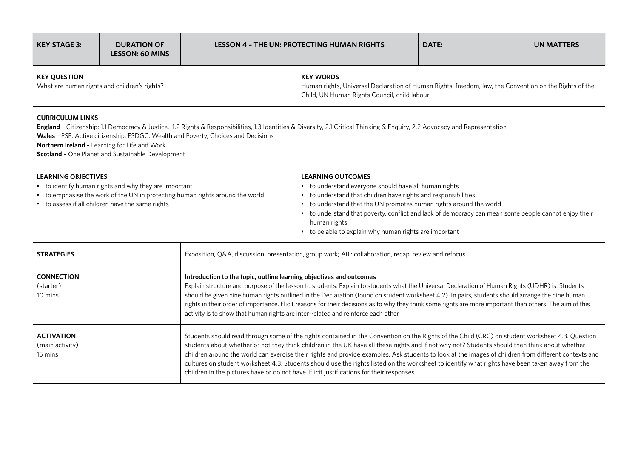| KEY STAGE 3:                                                        | <b>DURATION OF</b><br><b>LESSON: 60 MINS</b> | <b>LESSON 4 - THE UN: PROTECTING HUMAN RIGHTS</b>                                                                                                                          |  | DATE: | UN MATTERS |
|---------------------------------------------------------------------|----------------------------------------------|----------------------------------------------------------------------------------------------------------------------------------------------------------------------------|--|-------|------------|
| <b>KEY OUESTION</b><br>What are human rights and children's rights? |                                              | <b>KEY WORDS</b><br>Human rights, Universal Declaration of Human Rights, freedom, law, the Convention on the Rights of the<br>Child, UN Human Rights Council, child labour |  |       |            |

## **CURRICULUM LINKS**

**England** – Citizenship: 1.1 Democracy & Justice, 1.2 Rights & Responsibilities, 1.3 Identities & Diversity, 2.1 Critical Thinking & Enquiry, 2.2 Advocacy and Representation **Wales** – PSE: Active citizenship; ESDGC: Wealth and Poverty, Choices and Decisions

**Northern Ireland** – Learning for Life and Work

**Scotland** – One Planet and Sustainable Development

| <b>LEARNING OBJECTIVES</b><br>• to identify human rights and why they are important<br>• to emphasise the work of the UN in protecting human rights around the world<br>• to assess if all children have the same rights |                                                                                                                                                                                                                                                                                                                                                                                                                                                                                                                                                                                                                                                                                                          | <b>LEARNING OUTCOMES</b><br>to understand everyone should have all human rights<br>$\bullet$<br>to understand that children have rights and responsibilities<br>$\bullet$<br>to understand that the UN promotes human rights around the world<br>$\bullet$<br>to understand that poverty, conflict and lack of democracy can mean some people cannot enjoy their<br>$\bullet$<br>human rights<br>to be able to explain why human rights are important<br>$\bullet$ |  |
|--------------------------------------------------------------------------------------------------------------------------------------------------------------------------------------------------------------------------|----------------------------------------------------------------------------------------------------------------------------------------------------------------------------------------------------------------------------------------------------------------------------------------------------------------------------------------------------------------------------------------------------------------------------------------------------------------------------------------------------------------------------------------------------------------------------------------------------------------------------------------------------------------------------------------------------------|--------------------------------------------------------------------------------------------------------------------------------------------------------------------------------------------------------------------------------------------------------------------------------------------------------------------------------------------------------------------------------------------------------------------------------------------------------------------|--|
| <b>STRATEGIES</b>                                                                                                                                                                                                        | Exposition, Q&A, discussion, presentation, group work; AfL: collaboration, recap, review and refocus                                                                                                                                                                                                                                                                                                                                                                                                                                                                                                                                                                                                     |                                                                                                                                                                                                                                                                                                                                                                                                                                                                    |  |
| <b>CONNECTION</b><br>(starter)<br>10 mins                                                                                                                                                                                | Introduction to the topic, outline learning objectives and outcomes<br>Explain structure and purpose of the lesson to students. Explain to students what the Universal Declaration of Human Rights (UDHR) is. Students<br>should be given nine human rights outlined in the Declaration (found on student worksheet 4.2). In pairs, students should arrange the nine human<br>rights in their order of importance. Elicit reasons for their decisions as to why they think some rights are more important than others. The aim of this<br>activity is to show that human rights are inter-related and reinforce each other                                                                               |                                                                                                                                                                                                                                                                                                                                                                                                                                                                    |  |
| <b>ACTIVATION</b><br>(main activity)<br>15 mins                                                                                                                                                                          | Students should read through some of the rights contained in the Convention on the Rights of the Child (CRC) on student worksheet 4.3. Question<br>students about whether or not they think children in the UK have all these rights and if not why not? Students should then think about whether<br>children around the world can exercise their rights and provide examples. Ask students to look at the images of children from different contexts and<br>cultures on student worksheet 4.3. Students should use the rights listed on the worksheet to identify what rights have been taken away from the<br>children in the pictures have or do not have. Elicit justifications for their responses. |                                                                                                                                                                                                                                                                                                                                                                                                                                                                    |  |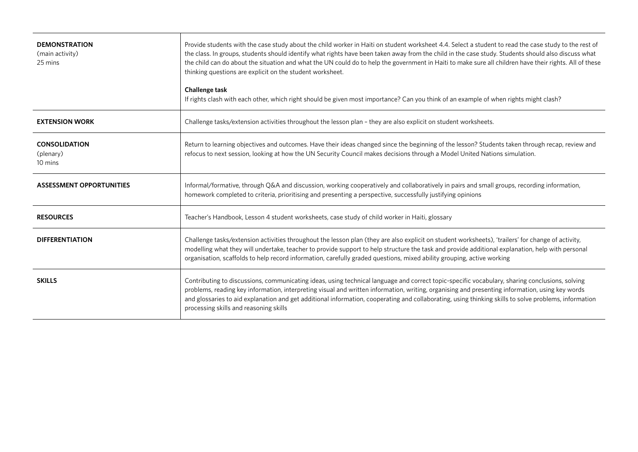| <b>DEMONSTRATION</b><br>(main activity)<br>25 mins | Provide students with the case study about the child worker in Haiti on student worksheet 4.4. Select a student to read the case study to the rest of<br>the class. In groups, students should identify what rights have been taken away from the child in the case study. Students should also discuss what<br>the child can do about the situation and what the UN could do to help the government in Haiti to make sure all children have their rights. All of these<br>thinking questions are explicit on the student worksheet.<br><b>Challenge task</b><br>If rights clash with each other, which right should be given most importance? Can you think of an example of when rights might clash? |
|----------------------------------------------------|--------------------------------------------------------------------------------------------------------------------------------------------------------------------------------------------------------------------------------------------------------------------------------------------------------------------------------------------------------------------------------------------------------------------------------------------------------------------------------------------------------------------------------------------------------------------------------------------------------------------------------------------------------------------------------------------------------|
| <b>EXTENSION WORK</b>                              | Challenge tasks/extension activities throughout the lesson plan - they are also explicit on student worksheets.                                                                                                                                                                                                                                                                                                                                                                                                                                                                                                                                                                                        |
| <b>CONSOLIDATION</b><br>(plenary)<br>10 mins       | Return to learning objectives and outcomes. Have their ideas changed since the beginning of the lesson? Students taken through recap, review and<br>refocus to next session, looking at how the UN Security Council makes decisions through a Model United Nations simulation.                                                                                                                                                                                                                                                                                                                                                                                                                         |
| <b>ASSESSMENT OPPORTUNITIES</b>                    | Informal/formative, through Q&A and discussion, working cooperatively and collaboratively in pairs and small groups, recording information,<br>homework completed to criteria, prioritising and presenting a perspective, successfully justifying opinions                                                                                                                                                                                                                                                                                                                                                                                                                                             |
| <b>RESOURCES</b>                                   | Teacher's Handbook, Lesson 4 student worksheets, case study of child worker in Haiti, glossary                                                                                                                                                                                                                                                                                                                                                                                                                                                                                                                                                                                                         |
| <b>DIFFERENTIATION</b>                             | Challenge tasks/extension activities throughout the lesson plan (they are also explicit on student worksheets), 'trailers' for change of activity,<br>modelling what they will undertake, teacher to provide support to help structure the task and provide additional explanation, help with personal<br>organisation, scaffolds to help record information, carefully graded questions, mixed ability grouping, active working                                                                                                                                                                                                                                                                       |
| <b>SKILLS</b>                                      | Contributing to discussions, communicating ideas, using technical language and correct topic-specific vocabulary, sharing conclusions, solving<br>problems, reading key information, interpreting visual and written information, writing, organising and presenting information, using key words<br>and glossaries to aid explanation and get additional information, cooperating and collaborating, using thinking skills to solve problems, information<br>processing skills and reasoning skills                                                                                                                                                                                                   |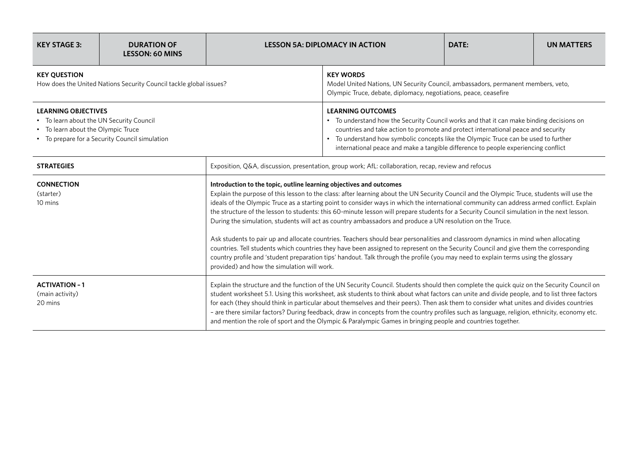| <b>KEY STAGE 3:</b>                                                                                                                                            | <b>DURATION OF</b><br><b>LESSON: 60 MINS</b> |                                                                                                                                                                                                                                                                                                                                                                                                                                                                                                                                                                                                                                                                                                                                                                                                                                                                                                                                                                                                                                                                                              | <b>LESSON 5A: DIPLOMACY IN ACTION</b>                                                                                                                                                                                                                                                                                                                                                  | DATE: | <b>UN MATTERS</b> |  |
|----------------------------------------------------------------------------------------------------------------------------------------------------------------|----------------------------------------------|----------------------------------------------------------------------------------------------------------------------------------------------------------------------------------------------------------------------------------------------------------------------------------------------------------------------------------------------------------------------------------------------------------------------------------------------------------------------------------------------------------------------------------------------------------------------------------------------------------------------------------------------------------------------------------------------------------------------------------------------------------------------------------------------------------------------------------------------------------------------------------------------------------------------------------------------------------------------------------------------------------------------------------------------------------------------------------------------|----------------------------------------------------------------------------------------------------------------------------------------------------------------------------------------------------------------------------------------------------------------------------------------------------------------------------------------------------------------------------------------|-------|-------------------|--|
| <b>KEY QUESTION</b><br>How does the United Nations Security Council tackle global issues?                                                                      |                                              | <b>KEY WORDS</b><br>Model United Nations, UN Security Council, ambassadors, permanent members, veto,<br>Olympic Truce, debate, diplomacy, negotiations, peace, ceasefire                                                                                                                                                                                                                                                                                                                                                                                                                                                                                                                                                                                                                                                                                                                                                                                                                                                                                                                     |                                                                                                                                                                                                                                                                                                                                                                                        |       |                   |  |
| <b>LEARNING OBJECTIVES</b><br>• To learn about the UN Security Council<br>• To learn about the Olympic Truce<br>• To prepare for a Security Council simulation |                                              |                                                                                                                                                                                                                                                                                                                                                                                                                                                                                                                                                                                                                                                                                                                                                                                                                                                                                                                                                                                                                                                                                              | <b>LEARNING OUTCOMES</b><br>• To understand how the Security Council works and that it can make binding decisions on<br>countries and take action to promote and protect international peace and security<br>• To understand how symbolic concepts like the Olympic Truce can be used to further<br>international peace and make a tangible difference to people experiencing conflict |       |                   |  |
| <b>STRATEGIES</b>                                                                                                                                              |                                              |                                                                                                                                                                                                                                                                                                                                                                                                                                                                                                                                                                                                                                                                                                                                                                                                                                                                                                                                                                                                                                                                                              | Exposition, Q&A, discussion, presentation, group work; AfL: collaboration, recap, review and refocus                                                                                                                                                                                                                                                                                   |       |                   |  |
| <b>CONNECTION</b><br>(starter)<br>10 mins                                                                                                                      |                                              | Introduction to the topic, outline learning objectives and outcomes<br>Explain the purpose of this lesson to the class: after learning about the UN Security Council and the Olympic Truce, students will use the<br>ideals of the Olympic Truce as a starting point to consider ways in which the international community can address armed conflict. Explain<br>the structure of the lesson to students: this 60-minute lesson will prepare students for a Security Council simulation in the next lesson.<br>During the simulation, students will act as country ambassadors and produce a UN resolution on the Truce.<br>Ask students to pair up and allocate countries. Teachers should bear personalities and classroom dynamics in mind when allocating<br>countries. Tell students which countries they have been assigned to represent on the Security Council and give them the corresponding<br>country profile and 'student preparation tips' handout. Talk through the profile (you may need to explain terms using the glossary<br>provided) and how the simulation will work. |                                                                                                                                                                                                                                                                                                                                                                                        |       |                   |  |
| <b>ACTIVATION - 1</b><br>(main activity)<br>20 mins                                                                                                            |                                              | Explain the structure and the function of the UN Security Council. Students should then complete the quick quiz on the Security Council on<br>student worksheet 5.1. Using this worksheet, ask students to think about what factors can unite and divide people, and to list three factors<br>for each (they should think in particular about themselves and their peers). Then ask them to consider what unites and divides countries<br>- are there similar factors? During feedback, draw in concepts from the country profiles such as language, religion, ethnicity, economy etc.<br>and mention the role of sport and the Olympic & Paralympic Games in bringing people and countries together.                                                                                                                                                                                                                                                                                                                                                                                        |                                                                                                                                                                                                                                                                                                                                                                                        |       |                   |  |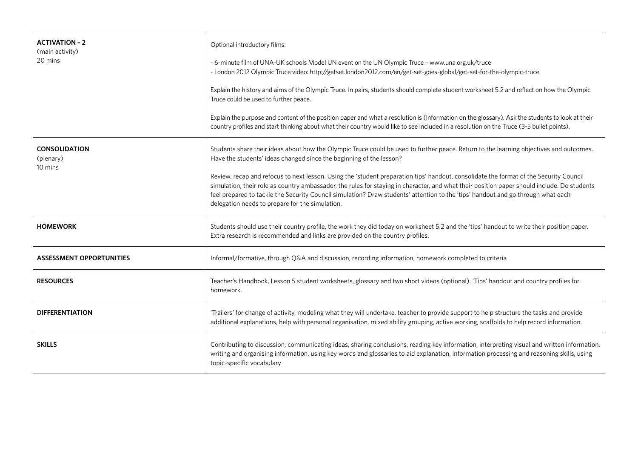| <b>ACTIVATION - 2</b><br>(main activity)<br>20 mins | Optional introductory films:<br>- 6-minute film of UNA-UK schools Model UN event on the UN Olympic Truce - www.una.org.uk/truce<br>- London 2012 Olympic Truce video: http://getset.london2012.com/en/get-set-goes-global/get-set-for-the-olympic-truce<br>Explain the history and aims of the Olympic Truce. In pairs, students should complete student worksheet 5.2 and reflect on how the Olympic<br>Truce could be used to further peace.<br>Explain the purpose and content of the position paper and what a resolution is (information on the glossary). Ask the students to look at their<br>country profiles and start thinking about what their country would like to see included in a resolution on the Truce (3-5 bullet points). |  |
|-----------------------------------------------------|------------------------------------------------------------------------------------------------------------------------------------------------------------------------------------------------------------------------------------------------------------------------------------------------------------------------------------------------------------------------------------------------------------------------------------------------------------------------------------------------------------------------------------------------------------------------------------------------------------------------------------------------------------------------------------------------------------------------------------------------|--|
| <b>CONSOLIDATION</b><br>(plenary)<br>10 mins        | Students share their ideas about how the Olympic Truce could be used to further peace. Return to the learning objectives and outcomes.<br>Have the students' ideas changed since the beginning of the lesson?<br>Review, recap and refocus to next lesson. Using the 'student preparation tips' handout, consolidate the format of the Security Council<br>simulation, their role as country ambassador, the rules for staying in character, and what their position paper should include. Do students<br>feel prepared to tackle the Security Council simulation? Draw students' attention to the 'tips' handout and go through what each<br>delegation needs to prepare for the simulation.                                                  |  |
| <b>HOMEWORK</b>                                     | Students should use their country profile, the work they did today on worksheet 5.2 and the 'tips' handout to write their position paper.<br>Extra research is recommended and links are provided on the country profiles.                                                                                                                                                                                                                                                                                                                                                                                                                                                                                                                     |  |
| <b>ASSESSMENT OPPORTUNITIES</b>                     | Informal/formative, through Q&A and discussion, recording information, homework completed to criteria                                                                                                                                                                                                                                                                                                                                                                                                                                                                                                                                                                                                                                          |  |
| <b>RESOURCES</b>                                    | Teacher's Handbook, Lesson 5 student worksheets, glossary and two short videos (optional). 'Tips' handout and country profiles for<br>homework.                                                                                                                                                                                                                                                                                                                                                                                                                                                                                                                                                                                                |  |
| <b>DIFFERENTIATION</b>                              | 'Trailers' for change of activity, modeling what they will undertake, teacher to provide support to help structure the tasks and provide<br>additional explanations, help with personal organisation, mixed ability grouping, active working, scaffolds to help record information.                                                                                                                                                                                                                                                                                                                                                                                                                                                            |  |
| <b>SKILLS</b>                                       | Contributing to discussion, communicating ideas, sharing conclusions, reading key information, interpreting visual and written information,<br>writing and organising information, using key words and glossaries to aid explanation, information processing and reasoning skills, using<br>topic-specific vocabulary                                                                                                                                                                                                                                                                                                                                                                                                                          |  |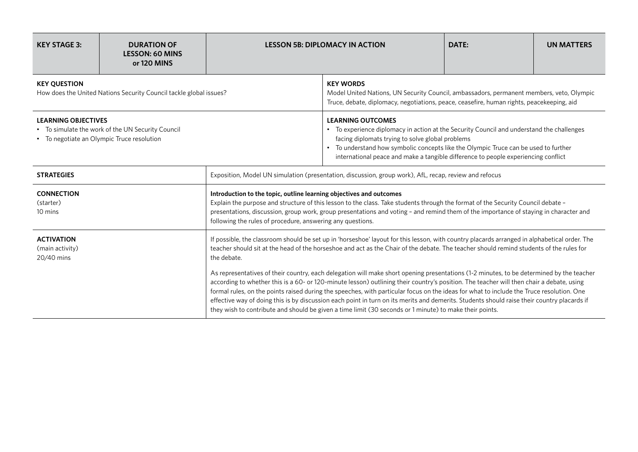| <b>KEY STAGE 3:</b>                                                                                                           | <b>DURATION OF</b><br><b>LESSON: 60 MINS</b><br>or 120 MINS |                                                                                                                                                                                                                                                                                                                                                                                                                | <b>LESSON 5B: DIPLOMACY IN ACTION</b>                                                                                                                                                                                                                                                                                                                                                                                                                                                                                                                                                                                                                                                      | DATE: | <b>UN MATTERS</b> |  |
|-------------------------------------------------------------------------------------------------------------------------------|-------------------------------------------------------------|----------------------------------------------------------------------------------------------------------------------------------------------------------------------------------------------------------------------------------------------------------------------------------------------------------------------------------------------------------------------------------------------------------------|--------------------------------------------------------------------------------------------------------------------------------------------------------------------------------------------------------------------------------------------------------------------------------------------------------------------------------------------------------------------------------------------------------------------------------------------------------------------------------------------------------------------------------------------------------------------------------------------------------------------------------------------------------------------------------------------|-------|-------------------|--|
| <b>KEY OUESTION</b><br>How does the United Nations Security Council tackle global issues?                                     |                                                             |                                                                                                                                                                                                                                                                                                                                                                                                                | <b>KEY WORDS</b><br>Model United Nations, UN Security Council, ambassadors, permanent members, veto, Olympic<br>Truce, debate, diplomacy, negotiations, peace, ceasefire, human rights, peacekeeping, aid                                                                                                                                                                                                                                                                                                                                                                                                                                                                                  |       |                   |  |
| <b>LEARNING OBJECTIVES</b><br>• To simulate the work of the UN Security Council<br>• To negotiate an Olympic Truce resolution |                                                             |                                                                                                                                                                                                                                                                                                                                                                                                                | <b>LEARNING OUTCOMES</b><br>• To experience diplomacy in action at the Security Council and understand the challenges<br>facing diplomats trying to solve global problems<br>• To understand how symbolic concepts like the Olympic Truce can be used to further<br>international peace and make a tangible difference to people experiencing conflict                                                                                                                                                                                                                                                                                                                                     |       |                   |  |
| <b>STRATEGIES</b>                                                                                                             |                                                             | Exposition, Model UN simulation (presentation, discussion, group work), AfL, recap, review and refocus                                                                                                                                                                                                                                                                                                         |                                                                                                                                                                                                                                                                                                                                                                                                                                                                                                                                                                                                                                                                                            |       |                   |  |
| <b>CONNECTION</b><br>(starter)<br>10 mins                                                                                     |                                                             | Introduction to the topic, outline learning objectives and outcomes<br>Explain the purpose and structure of this lesson to the class. Take students through the format of the Security Council debate -<br>presentations, discussion, group work, group presentations and voting - and remind them of the importance of staying in character and<br>following the rules of procedure, answering any questions. |                                                                                                                                                                                                                                                                                                                                                                                                                                                                                                                                                                                                                                                                                            |       |                   |  |
| <b>ACTIVATION</b><br>(main activity)<br>20/40 mins                                                                            |                                                             | If possible, the classroom should be set up in 'horseshoe' layout for this lesson, with country placards arranged in alphabetical order. The<br>teacher should sit at the head of the horseshoe and act as the Chair of the debate. The teacher should remind students of the rules for<br>the debate.                                                                                                         |                                                                                                                                                                                                                                                                                                                                                                                                                                                                                                                                                                                                                                                                                            |       |                   |  |
|                                                                                                                               |                                                             |                                                                                                                                                                                                                                                                                                                                                                                                                | As representatives of their country, each delegation will make short opening presentations (1-2 minutes, to be determined by the teacher<br>according to whether this is a 60- or 120-minute lesson) outlining their country's position. The teacher will then chair a debate, using<br>formal rules, on the points raised during the speeches, with particular focus on the ideas for what to include the Truce resolution. One<br>effective way of doing this is by discussion each point in turn on its merits and demerits. Students should raise their country placards if<br>they wish to contribute and should be given a time limit (30 seconds or 1 minute) to make their points. |       |                   |  |